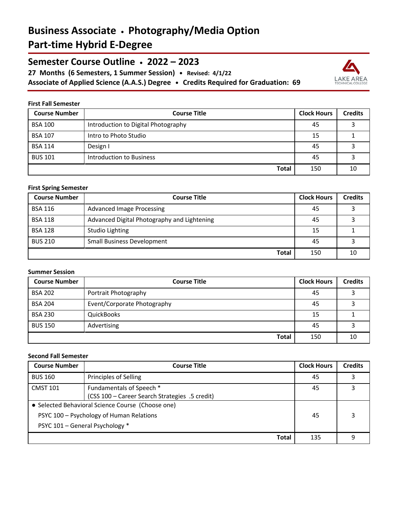# **Business Associate • Photography/Media Option Part-time Hybrid E-Degree**

**Semester Course Outline • 2022 – 2023**

**27 Months (6 Semesters, 1 Summer Session) • Revised: 4/1/22 Associate of Applied Science (A.A.S.) Degree • Credits Required for Graduation: 69**



### **First Fall Semester**

| <b>Course Number</b> | <b>Course Title</b>                 | <b>Clock Hours</b> | <b>Credits</b> |
|----------------------|-------------------------------------|--------------------|----------------|
| <b>BSA 100</b>       | Introduction to Digital Photography | 45                 |                |
| <b>BSA 107</b>       | Intro to Photo Studio               | 15                 |                |
| <b>BSA 114</b>       | Design I                            | 45                 |                |
| <b>BUS 101</b>       | Introduction to Business            | 45                 |                |
|                      | Total                               | 150                | 10             |

### **First Spring Semester**

| <b>Course Number</b> | <b>Course Title</b>                         | <b>Clock Hours</b> | <b>Credits</b> |
|----------------------|---------------------------------------------|--------------------|----------------|
| <b>BSA 116</b>       | <b>Advanced Image Processing</b>            | 45                 |                |
| <b>BSA 118</b>       | Advanced Digital Photography and Lightening | 45                 |                |
| <b>BSA 128</b>       | Studio Lighting                             | 15                 |                |
| <b>BUS 210</b>       | <b>Small Business Development</b>           | 45                 |                |
|                      | <b>Total</b>                                | 150                | 10             |

### **Summer Session**

| <b>Course Number</b> | <b>Course Title</b>         | <b>Clock Hours</b> | <b>Credits</b> |
|----------------------|-----------------------------|--------------------|----------------|
| <b>BSA 202</b>       | Portrait Photography        | 45                 |                |
| <b>BSA 204</b>       | Event/Corporate Photography | 45                 |                |
| <b>BSA 230</b>       | QuickBooks                  | 15                 |                |
| <b>BUS 150</b>       | Advertising                 | 45                 |                |
|                      | <b>Total</b>                | 150                | 10             |

## **Second Fall Semester**

| <b>Course Number</b> | <b>Course Title</b>                               | <b>Clock Hours</b> | <b>Credits</b> |
|----------------------|---------------------------------------------------|--------------------|----------------|
| <b>BUS 160</b>       | Principles of Selling                             | 45                 |                |
| <b>CMST 101</b>      | Fundamentals of Speech *                          | 45                 |                |
|                      | (CSS 100 - Career Search Strategies .5 credit)    |                    |                |
|                      | • Selected Behavioral Science Course (Choose one) |                    |                |
|                      | PSYC 100 - Psychology of Human Relations          | 45                 |                |
|                      | PSYC 101 - General Psychology *                   |                    |                |
|                      | <b>Total</b>                                      | 135                | q              |